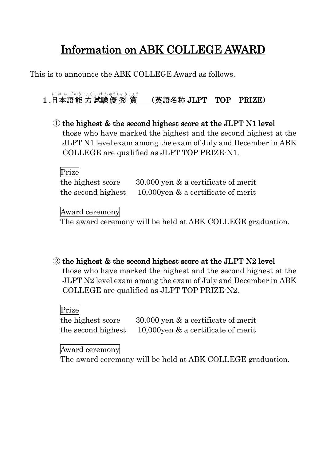# Information on ABK COLLEGE AWARD

This is to announce the ABK COLLEGE Award as follows.

### 1.日本語能力試験優秀賞 (英語名称 JLPT TOP PRIZE)

① the highest & the second highest score at the JLPT N1 level those who have marked the highest and the second highest at the JLPT N1 level exam among the exam of July and December in ABK COLLEGE are qualified as JLPT TOP PRIZE-N1.

Prize the highest score 30,000 yen & a certificate of merit the second highest  $10,000$  yen  $\&$  a certificate of merit

Award ceremony

The award ceremony will be held at ABK COLLEGE graduation.

② the highest & the second highest score at the JLPT N2 level those who have marked the highest and the second highest at the JLPT N2 level exam among the exam of July and December in ABK COLLEGE are qualified as JLPT TOP PRIZE-N2.

Prize

the highest score 30,000 yen & a certificate of merit the second highest  $10,000$  yen & a certificate of merit

Award ceremony

The award ceremony will be held at ABK COLLEGE graduation.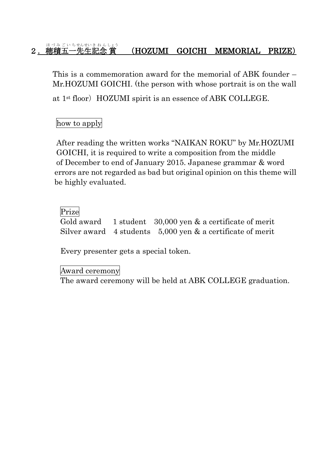#### 2. 穂積五一先生記念賞 ほ づみ ご い ちせんせいき ねん しょう (HOZUMI GOICHI MEMORIAL PRIZE)

This is a commemoration award for the memorial of ABK founder – Mr.HOZUMI GOICHI. (the person with whose portrait is on the wall

at 1<sup>st</sup> floor) HOZUMI spirit is an essence of ABK COLLEGE.

how to apply

After reading the written works "NAIKAN ROKU" by Mr.HOZUMI GOICHI, it is required to write a composition from the middle of December to end of January 2015. Japanese grammar & word errors are not regarded as bad but original opinion on this theme will be highly evaluated.

## Prize

Gold award 1 student 30,000 yen & a certificate of merit Silver award  $4$  students  $5,000$  yen  $\&$  a certificate of merit

Every presenter gets a special token.

### Award ceremony

The award ceremony will be held at ABK COLLEGE graduation.